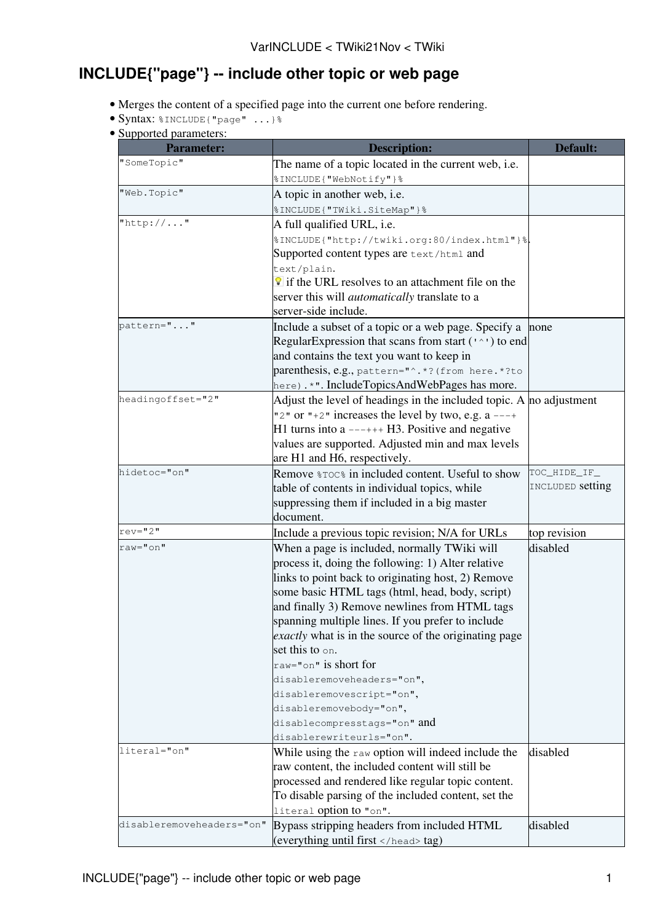## **INCLUDE{"page"} -- include other topic or web page**

- Merges the content of a specified page into the current one before rendering.
- Syntax: %INCLUDE{"page" ...}%
- Supported parameters:

| <b>Parameter:</b>         | <b>Description:</b>                                                 | <b>Default:</b>  |
|---------------------------|---------------------------------------------------------------------|------------------|
| "SomeTopic"               | The name of a topic located in the current web, i.e.                |                  |
|                           | %INCLUDE{ "WebNotify" } %                                           |                  |
| "Web.Topic"               | A topic in another web, i.e.                                        |                  |
|                           | %INCLUDE{ "TWiki.SiteMap" } %                                       |                  |
| "http://"                 | A full qualified URL, i.e.                                          |                  |
|                           | %INCLUDE{"http://twiki.org:80/index.html"}%                         |                  |
|                           | Supported content types are text/html and                           |                  |
|                           | text/plain.                                                         |                  |
|                           | If the URL resolves to an attachment file on the                    |                  |
|                           | server this will <i>automatically</i> translate to a                |                  |
|                           | server-side include.                                                |                  |
| pattern=""                | Include a subset of a topic or a web page. Specify a                | none             |
|                           | Regular Expression that scans from start $(1^{\wedge})$ to end      |                  |
|                           | and contains the text you want to keep in                           |                  |
|                           | parenthesis, e.g., pattern="^.*? (from here.*?to                    |                  |
|                           | here) .*". IncludeTopicsAndWebPages has more.                       |                  |
| headingoffset="2"         | Adjust the level of headings in the included topic. A no adjustment |                  |
|                           | "2" or "+2" increases the level by two, e.g. $a$ ---+               |                  |
|                           | $H1$ turns into a $---++H3$ . Positive and negative                 |                  |
|                           | values are supported. Adjusted min and max levels                   |                  |
|                           | are H1 and H6, respectively.                                        |                  |
| hidetoc="on"              | Remove $\text{Foc}_\text{s}$ in included content. Useful to show    | TOC_HIDE_IF_     |
|                           | table of contents in individual topics, while                       | INCLUDED setting |
|                           | suppressing them if included in a big master                        |                  |
|                           | document.                                                           |                  |
| rev="2"                   | Include a previous topic revision; N/A for URLs                     | top revision     |
| raw="on"                  | When a page is included, normally TWiki will                        | disabled         |
|                           | process it, doing the following: 1) Alter relative                  |                  |
|                           | links to point back to originating host, 2) Remove                  |                  |
|                           | some basic HTML tags (html, head, body, script)                     |                  |
|                           | and finally 3) Remove newlines from HTML tags                       |                  |
|                           | spanning multiple lines. If you prefer to include                   |                  |
|                           | <i>exactly</i> what is in the source of the originating page        |                  |
|                           | set this to on.                                                     |                  |
|                           | $raw="on"$ is short for                                             |                  |
|                           | disableremoveheaders="on",                                          |                  |
|                           | disableremovescript="on",                                           |                  |
|                           | disableremovebody="on",<br>disablecompresstags="on" and             |                  |
|                           | disablerewriteurls="on".                                            |                  |
| literal="on"              | While using the raw option will indeed include the                  | disabled         |
|                           | raw content, the included content will still be                     |                  |
|                           | processed and rendered like regular topic content.                  |                  |
|                           | To disable parsing of the included content, set the                 |                  |
|                           | literal option to "on".                                             |                  |
| disableremoveheaders="on" | Bypass stripping headers from included HTML                         | disabled         |
|                           | (everything until first  tag)                                       |                  |
|                           |                                                                     |                  |